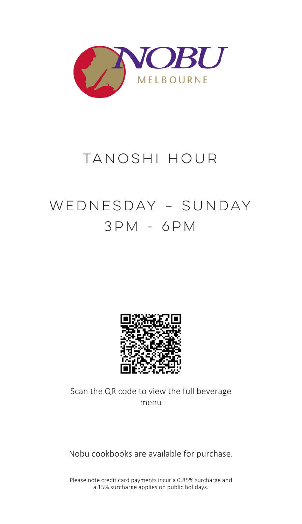

## TANOSHI HOUR

# WEDNESDAY – SUNDAY 3PM - 6PM



Scan the QR code to view the full beverage menu

Nobu cookbooks are available for purchase.

Please note credit card payments incur a 0.85% surcharge and a 15% surcharge applies on public holidays.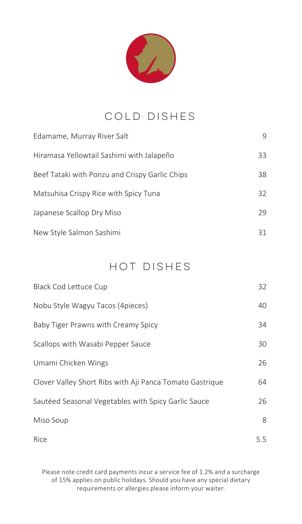

#### COLD DISHES

| Edamame, Murray River Salt                     | 9  |
|------------------------------------------------|----|
| Hiramasa Yellowtail Sashimi with Jalapeño      | 33 |
| Beef Tataki with Ponzu and Crispy Garlic Chips | 38 |
| Matsuhisa Crispy Rice with Spicy Tuna          | 32 |
| Japanese Scallop Dry Miso                      | 29 |
| New Style Salmon Sashimi                       | 31 |

#### Hot dishes

| Black Cod Lettuce Cup                                    | 32  |
|----------------------------------------------------------|-----|
| Nobu Style Wagyu Tacos (4pieces)                         | 40  |
| Baby Tiger Prawns with Creamy Spicy                      | 34  |
| Scallops with Wasabi Pepper Sauce                        | 30  |
| Umami Chicken Wings                                      | 26  |
| Clover Valley Short Ribs with Aji Panca Tomato Gastrique | 64  |
| Sautéed Seasonal Vegetables with Spicy Garlic Sauce      | 26  |
| Miso Soup                                                | 8   |
| Rice                                                     | 5.5 |

Please note credit card payments incur a service fee of 1.2% and a surcharge of 15% applies on public holidays. Should you have any special dietary requirements or allergies please inform your waiter.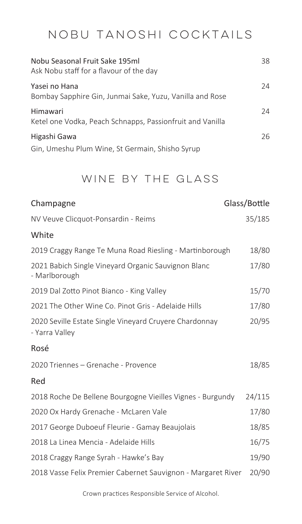### NOBU tanoshi COCKTAILS

| Nobu Seasonal Fruit Sake 195ml<br>Ask Nobu staff for a flavour of the day | 38 |
|---------------------------------------------------------------------------|----|
| Yasei no Hana<br>Bombay Sapphire Gin, Junmai Sake, Yuzu, Vanilla and Rose | 24 |
| Himawari<br>Ketel one Vodka, Peach Schnapps, Passionfruit and Vanilla     | 24 |
| Higashi Gawa<br>Gin, Umeshu Plum Wine, St Germain, Shisho Syrup           | 26 |

#### WINE BY THE GLASS

| Champagne                                                                | Glass/Bottle |
|--------------------------------------------------------------------------|--------------|
| NV Veuve Clicquot-Ponsardin - Reims                                      | 35/185       |
| White                                                                    |              |
| 2019 Craggy Range Te Muna Road Riesling - Martinborough                  | 18/80        |
| 2021 Babich Single Vineyard Organic Sauvignon Blanc<br>- Marlborough     | 17/80        |
| 2019 Dal Zotto Pinot Bianco - King Valley                                | 15/70        |
| 2021 The Other Wine Co. Pinot Gris - Adelaide Hills                      | 17/80        |
| 2020 Seville Estate Single Vineyard Cruyere Chardonnay<br>- Yarra Valley | 20/95        |
| Rosé                                                                     |              |
| 2020 Triennes - Grenache - Provence                                      | 18/85        |
| Red                                                                      |              |
| 2018 Roche De Bellene Bourgogne Vieilles Vignes - Burgundy               | 24/115       |
| 2020 Ox Hardy Grenache - McLaren Vale                                    | 17/80        |
| 2017 George Duboeuf Fleurie - Gamay Beaujolais                           | 18/85        |
| 2018 La Linea Mencia - Adelaide Hills                                    | 16/75        |
| 2018 Craggy Range Syrah - Hawke's Bay                                    | 19/90        |
| 2018 Vasse Felix Premier Cabernet Sauvignon - Margaret River             | 20/90        |

Crown practices Responsible Service of Alcohol.